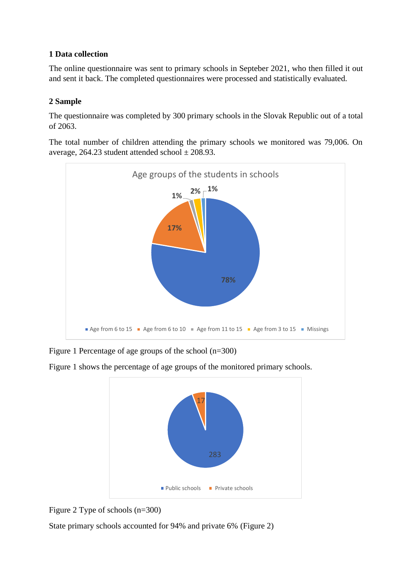## <span id="page-1-0"></span>**1 Data collection**

The online questionnaire was sent to primary schools in Septeber 2021, who then filled it out and sent it back. The completed questionnaires were processed and statistically evaluated.

## <span id="page-1-1"></span>**2 Sample**

The questionnaire was completed by 300 primary schools in the Slovak Republic out of a total of 2063.

The total number of children attending the primary schools we monitored was 79,006. On average, 264.23 student attended school  $\pm$  208.93.



Figure 1 Percentage of age groups of the school (n=300)

Figure 1 shows the percentage of age groups of the monitored primary schools.





State primary schools accounted for 94% and private 6% (Figure 2)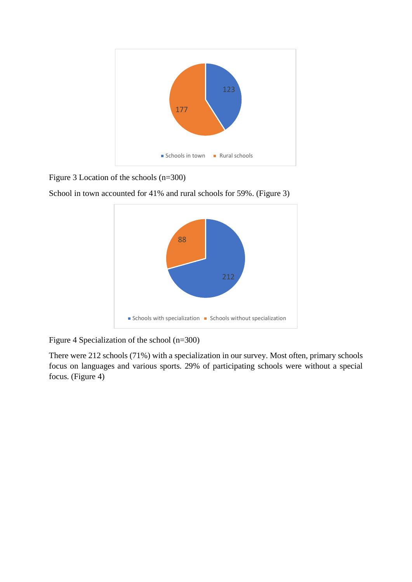

Figure 3 Location of the schools (n=300)

School in town accounted for 41% and rural schools for 59%. (Figure 3)



Figure 4 Specialization of the school (n=300)

There were 212 schools (71%) with a specialization in our survey. Most often, primary schools focus on languages and various sports. 29% of participating schools were without a special focus. (Figure 4)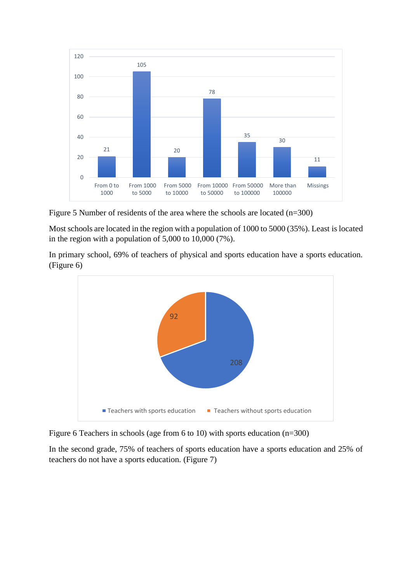

Figure 5 Number of residents of the area where the schools are located (n=300)

Most schools are located in the region with a population of 1000 to 5000 (35%). Least is located in the region with a population of 5,000 to 10,000 (7%).

In primary school, 69% of teachers of physical and sports education have a sports education. (Figure 6)



Figure 6 Teachers in schools (age from 6 to 10) with sports education (n=300)

In the second grade, 75% of teachers of sports education have a sports education and 25% of teachers do not have a sports education. (Figure 7)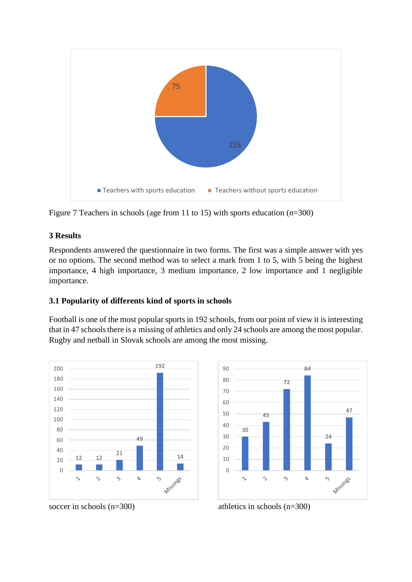

Figure 7 Teachers in schools (age from 11 to 15) with sports education (n=300)

# <span id="page-4-0"></span>**3 Results**

Respondents answered the questionnaire in two forms. The first was a simple answer with yes or no options. The second method was to select a mark from 1 to 5, with 5 being the highest importance, 4 high importance, 3 medium importance, 2 low importance and 1 negligible importance.

# <span id="page-4-1"></span>**3.1 Popularity of differents kind of sports in schools**

Football is one of the most popular sports in 192 schools, from our point of view it is interesting that in 47 schools there is a missing of athletics and only 24 schools are among the most popular. Rugby and netball in Slovak schools are among the most missing.





soccer in schools  $(n=300)$  athletics in schools  $(n=300)$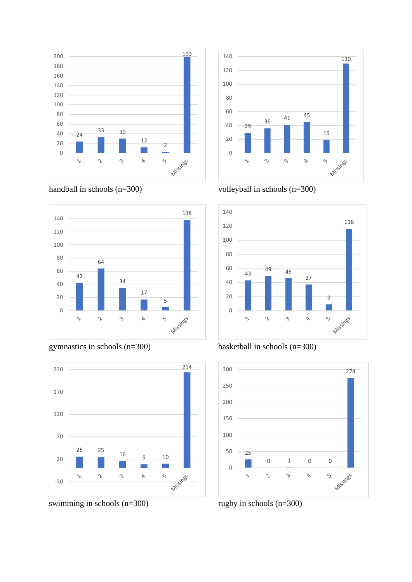





gymnastics in schools (n=300)



swimming in schools (n=300)











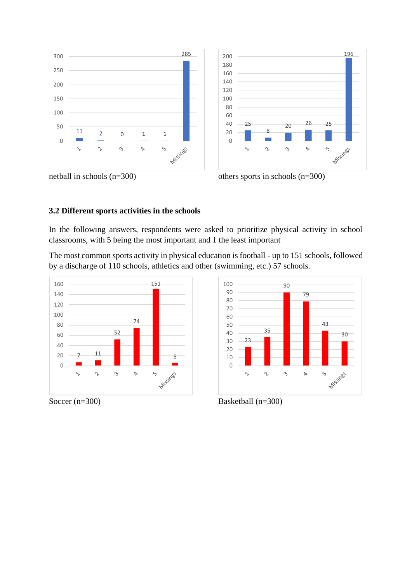





 $\mathcal{L}$ 

 $\gamma$ 

26 25

 $\triangleright$ 

Missines

 $\breve{\mathcal{L}}$ 

 $\ddot{\phantom{1}}$ 

#### <span id="page-6-0"></span>**3.2 Different sports activities in the schools**

In the following answers, respondents were asked to prioritize physical activity in school classrooms, with 5 being the most important and 1 the least important

The most common sports activity in physical education is football - up to 151 schools, followed by a discharge of 110 schools, athletics and other (swimming, etc.) 57 schools.





Soccer (n=300) Basketball (n=300)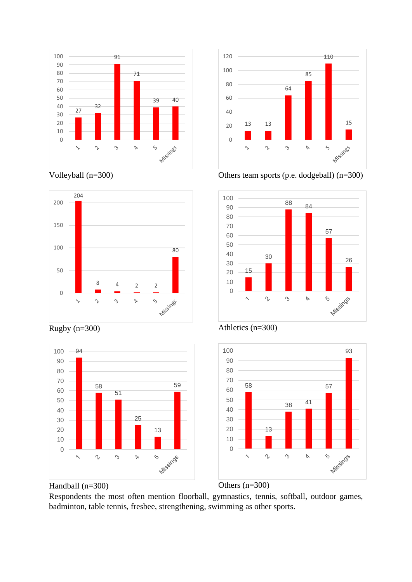





Rugby (n=300)





Others team sports (p.e. dodgeball) (n=300)











Respondents the most often mention floorball, gymnastics, tennis, softball, outdoor games, badminton, table tennis, fresbee, strengthening, swimming as other sports.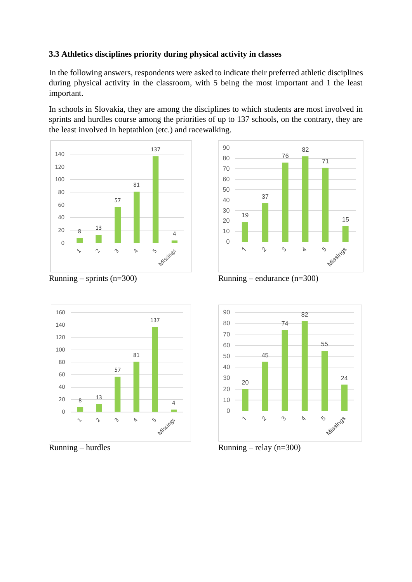#### <span id="page-8-0"></span>**3.3 Athletics disciplines priority during physical activity in classes**

In the following answers, respondents were asked to indicate their preferred athletic disciplines during physical activity in the classroom, with 5 being the most important and 1 the least important.

In schools in Slovakia, they are among the disciplines to which students are most involved in sprints and hurdles course among the priorities of up to 137 schools, on the contrary, they are the least involved in heptathlon (etc.) and racewalking.





Running – sprints  $(n=300)$ 





Running – hurdles



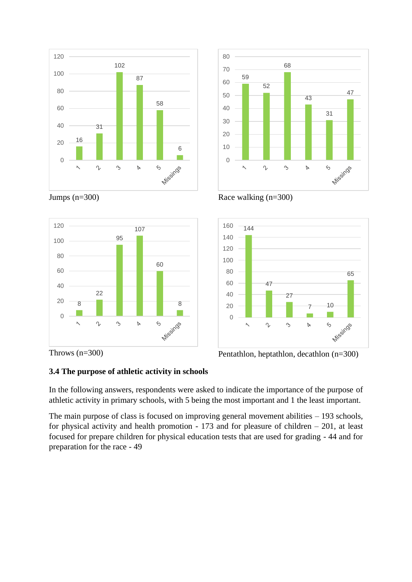





Race walking (n=300)







## <span id="page-9-0"></span>**3.4 The purpose of athletic activity in schools**

In the following answers, respondents were asked to indicate the importance of the purpose of athletic activity in primary schools, with 5 being the most important and 1 the least important.

The main purpose of class is focused on improving general movement abilities – 193 schools, for physical activity and health promotion - 173 and for pleasure of children – 201, at least focused for prepare children for physical education tests that are used for grading - 44 and for preparation for the race - 49

Jumps (n=300)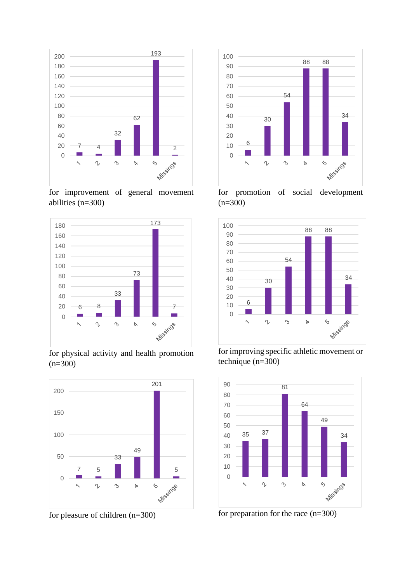

for improvement of general movement abilities (n=300)



for physical activity and health promotion  $(n=300)$ 



for pleasure of children (n=300)



for promotion of social development  $(n=300)$ 



for improving specific athletic movement or technique (n=300)



for preparation for the race (n=300)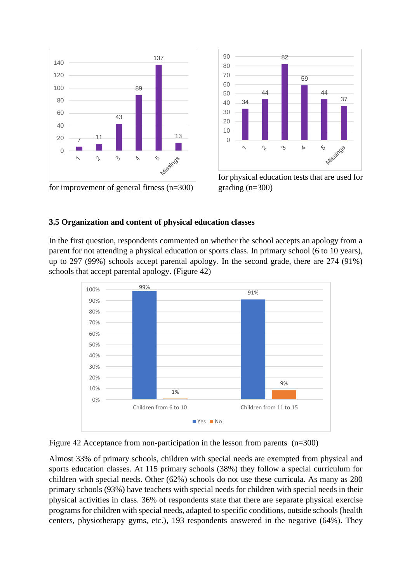

for improvement of general fitness (n=300)

![](_page_11_Figure_2.jpeg)

for physical education tests that are used for grading (n=300)

#### <span id="page-11-0"></span>**3.5 Organization and content of physical education classes**

In the first question, respondents commented on whether the school accepts an apology from a parent for not attending a physical education or sports class. In primary school (6 to 10 years), up to 297 (99%) schools accept parental apology. In the second grade, there are 274 (91%) schools that accept parental apology. (Figure 42)

![](_page_11_Figure_6.jpeg)

![](_page_11_Figure_7.jpeg)

Almost 33% of primary schools, children with special needs are exempted from physical and sports education classes. At 115 primary schools (38%) they follow a special curriculum for children with special needs. Other (62%) schools do not use these curricula. As many as 280 primary schools (93%) have teachers with special needs for children with special needs in their physical activities in class. 36% of respondents state that there are separate physical exercise programs for children with special needs, adapted to specific conditions, outside schools (health centers, physiotherapy gyms, etc.), 193 respondents answered in the negative (64%). They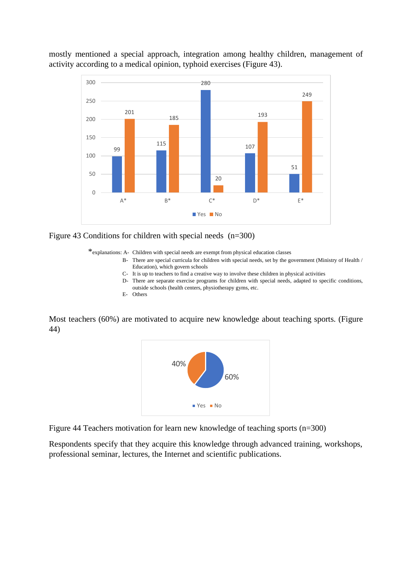![](_page_12_Figure_0.jpeg)

mostly mentioned a special approach, integration among healthy children, management of activity according to a medical opinion, typhoid exercises (Figure 43).

![](_page_12_Figure_2.jpeg)

\*explanations: A- Children with special needs are exempt from physical education classes

- B- There are special curricula for children with special needs, set by the government (Ministry of Health / Education), which govern schools
- C- It is up to teachers to find a creative way to involve these children in physical activities
- D- There are separate exercise programs for children with special needs, adapted to specific conditions, outside schools (health centers, physiotherapy gyms, etc.
- E- Others

Most teachers (60%) are motivated to acquire new knowledge about teaching sports. (Figure 44)

![](_page_12_Figure_9.jpeg)

Figure 44 Teachers motivation for learn new knowledge of teaching sports (n=300)

Respondents specify that they acquire this knowledge through advanced training, workshops, professional seminar, lectures, the Internet and scientific publications.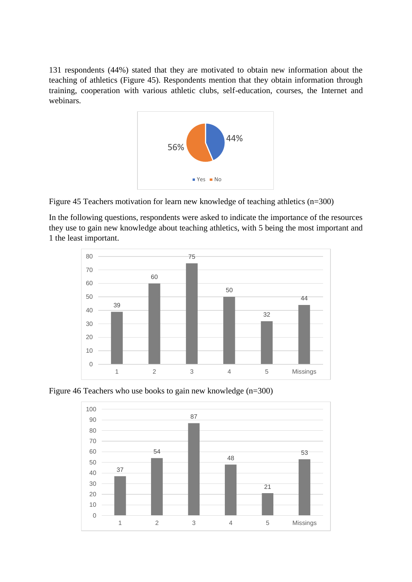131 respondents (44%) stated that they are motivated to obtain new information about the teaching of athletics (Figure 45). Respondents mention that they obtain information through training, cooperation with various athletic clubs, self-education, courses, the Internet and webinars.

![](_page_13_Figure_1.jpeg)

Figure 45 Teachers motivation for learn new knowledge of teaching athletics (n=300)

In the following questions, respondents were asked to indicate the importance of the resources they use to gain new knowledge about teaching athletics, with 5 being the most important and 1 the least important.

![](_page_13_Figure_4.jpeg)

Figure 46 Teachers who use books to gain new knowledge (n=300)

![](_page_13_Figure_6.jpeg)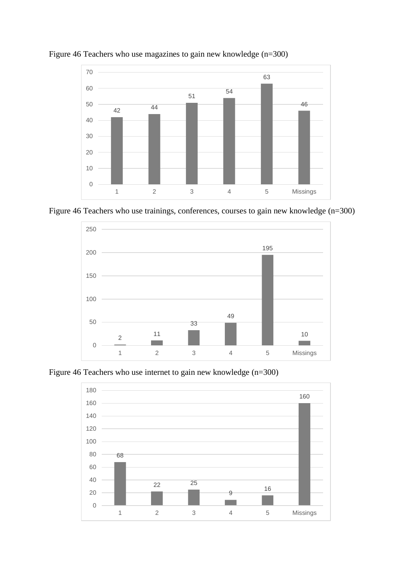![](_page_14_Figure_0.jpeg)

Figure 46 Teachers who use magazines to gain new knowledge (n=300)

![](_page_14_Figure_2.jpeg)

![](_page_14_Figure_3.jpeg)

Figure 46 Teachers who use internet to gain new knowledge (n=300)

![](_page_14_Figure_5.jpeg)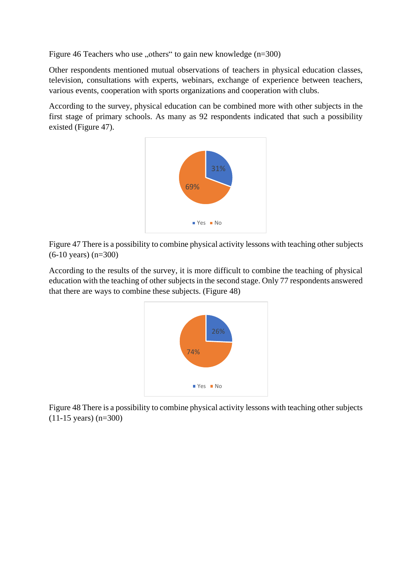Figure 46 Teachers who use "others" to gain new knowledge  $(n=300)$ 

Other respondents mentioned mutual observations of teachers in physical education classes, television, consultations with experts, webinars, exchange of experience between teachers, various events, cooperation with sports organizations and cooperation with clubs.

According to the survey, physical education can be combined more with other subjects in the first stage of primary schools. As many as 92 respondents indicated that such a possibility existed (Figure 47).

![](_page_15_Figure_3.jpeg)

Figure 47 There is a possibility to combine physical activity lessons with teaching other subjects (6-10 years) (n=300)

According to the results of the survey, it is more difficult to combine the teaching of physical education with the teaching of other subjects in the second stage. Only 77 respondents answered that there are ways to combine these subjects. (Figure 48)

![](_page_15_Figure_6.jpeg)

Figure 48 There is a possibility to combine physical activity lessons with teaching other subjects (11-15 years) (n=300)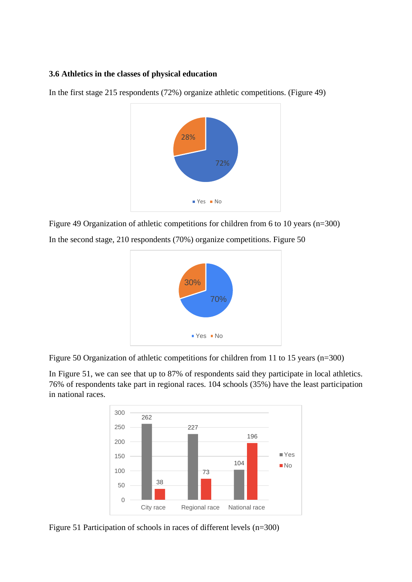#### <span id="page-16-0"></span>**3.6 Athletics in the classes of physical education**

In the first stage 215 respondents (72%) organize athletic competitions. (Figure 49)

![](_page_16_Figure_2.jpeg)

Figure 49 Organization of athletic competitions for children from 6 to 10 years (n=300)

![](_page_16_Figure_4.jpeg)

In the second stage, 210 respondents (70%) organize competitions. Figure 50

![](_page_16_Figure_6.jpeg)

In Figure 51, we can see that up to 87% of respondents said they participate in local athletics. 76% of respondents take part in regional races. 104 schools (35%) have the least participation in national races.

![](_page_16_Figure_8.jpeg)

Figure 51 Participation of schools in races of different levels (n=300)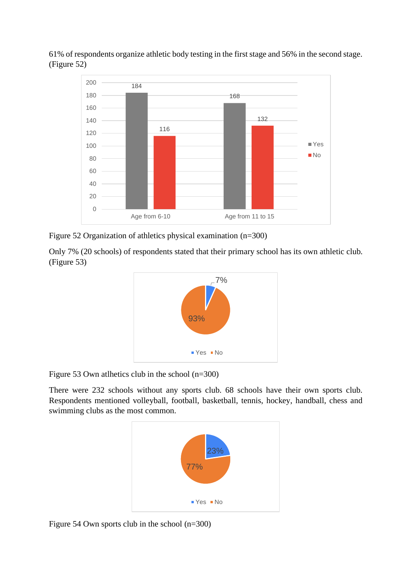61% of respondents organize athletic body testing in the first stage and 56% in the second stage. (Figure 52)

![](_page_17_Figure_1.jpeg)

Figure 52 Organization of athletics physical examination (n=300)

Only 7% (20 schools) of respondents stated that their primary school has its own athletic club. (Figure 53)

![](_page_17_Figure_4.jpeg)

Figure 53 Own atlhetics club in the school (n=300)

There were 232 schools without any sports club. 68 schools have their own sports club. Respondents mentioned volleyball, football, basketball, tennis, hockey, handball, chess and swimming clubs as the most common.

![](_page_17_Figure_7.jpeg)

Figure 54 Own sports club in the school (n=300)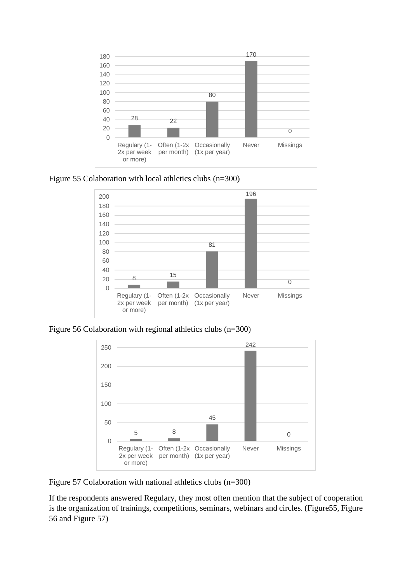![](_page_18_Figure_0.jpeg)

Figure 55 Colaboration with local athletics clubs (n=300)

![](_page_18_Figure_2.jpeg)

Figure 56 Colaboration with regional athletics clubs (n=300)

![](_page_18_Figure_4.jpeg)

Figure 57 Colaboration with national athletics clubs (n=300)

If the respondents answered Regulary, they most often mention that the subject of cooperation is the organization of trainings, competitions, seminars, webinars and circles. (Figure55, Figure 56 and Figure 57)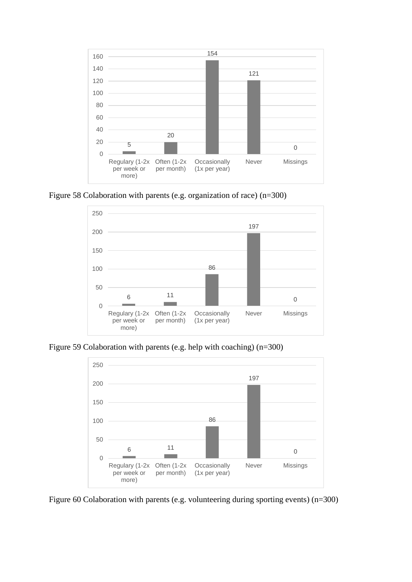![](_page_19_Figure_0.jpeg)

Figure 58 Colaboration with parents (e.g. organization of race) (n=300)

![](_page_19_Figure_2.jpeg)

Figure 59 Colaboration with parents (e.g. help with coaching) (n=300)

![](_page_19_Figure_4.jpeg)

Figure 60 Colaboration with parents (e.g. volunteering during sporting events) (n=300)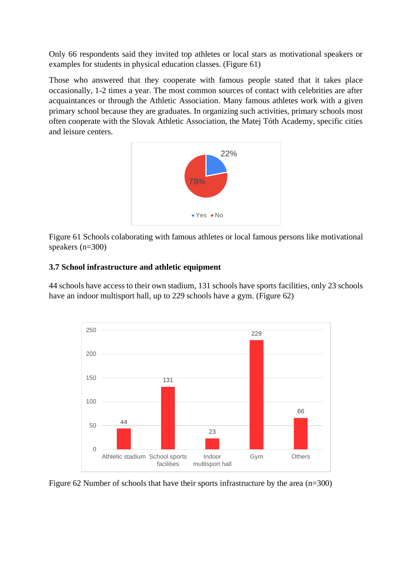Only 66 respondents said they invited top athletes or local stars as motivational speakers or examples for students in physical education classes. (Figure 61)

Those who answered that they cooperate with famous people stated that it takes place occasionally, 1-2 times a year. The most common sources of contact with celebrities are after acquaintances or through the Athletic Association. Many famous athletes work with a given primary school because they are graduates. In organizing such activities, primary schools most often cooperate with the Slovak Athletic Association, the Matej Tóth Academy, specific cities and leisure centers.

![](_page_20_Figure_2.jpeg)

Figure 61 Schools colaborating with famous athletes or local famous persons like motivational speakers (n=300)

## <span id="page-20-0"></span>**3.7 School infrastructure and athletic equipment**

44 schools have access to their own stadium, 131 schools have sports facilities, only 23 schools have an indoor multisport hall, up to 229 schools have a gym. (Figure 62)

![](_page_20_Figure_6.jpeg)

Figure 62 Number of schools that have their sports infrastructure by the area (n=300)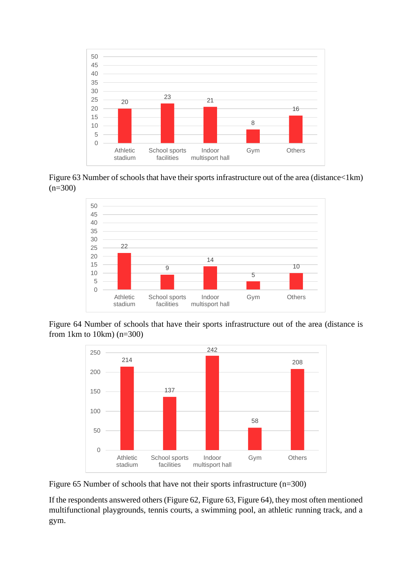![](_page_21_Figure_0.jpeg)

Figure 63 Number of schools that have their sports infrastructure out of the area (distance<1km)  $(n=300)$ 

![](_page_21_Figure_2.jpeg)

Figure 64 Number of schools that have their sports infrastructure out of the area (distance is from 1km to 10km) (n=300)

![](_page_21_Figure_4.jpeg)

Figure 65 Number of schools that have not their sports infrastructure (n=300)

If the respondents answered others (Figure 62, Figure 63, Figure 64), they most often mentioned multifunctional playgrounds, tennis courts, a swimming pool, an athletic running track, and a gym.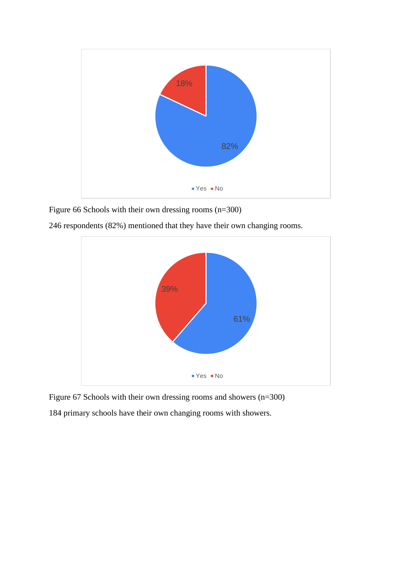![](_page_22_Figure_0.jpeg)

Figure 66 Schools with their own dressing rooms (n=300)

246 respondents (82%) mentioned that they have their own changing rooms.

![](_page_22_Figure_3.jpeg)

Figure 67 Schools with their own dressing rooms and showers (n=300) 184 primary schools have their own changing rooms with showers.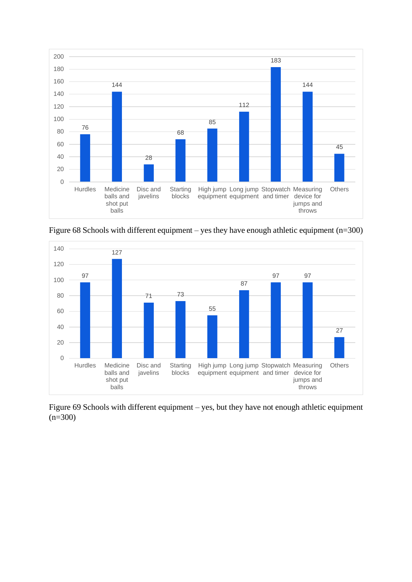![](_page_23_Figure_0.jpeg)

Figure 68 Schools with different equipment – yes they have enough athletic equipment (n=300)

![](_page_23_Figure_2.jpeg)

Figure 69 Schools with different equipment – yes, but they have not enough athletic equipment  $(n=300)$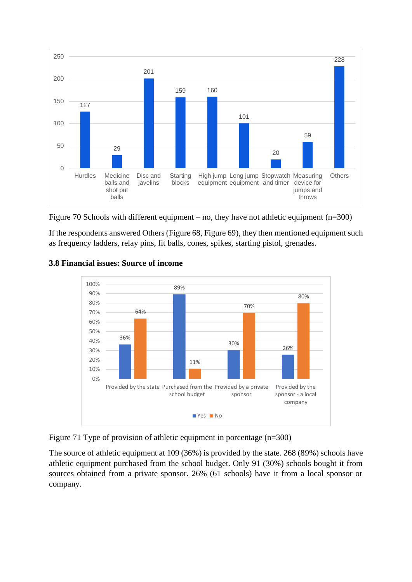![](_page_24_Figure_0.jpeg)

![](_page_24_Figure_1.jpeg)

If the respondents answered Others (Figure 68, Figure 69), they then mentioned equipment such as frequency ladders, relay pins, fit balls, cones, spikes, starting pistol, grenades.

![](_page_24_Figure_3.jpeg)

## <span id="page-24-0"></span>**3.8 Financial issues: Source of income**

Figure 71 Type of provision of athletic equipment in porcentage (n=300)

The source of athletic equipment at 109 (36%) is provided by the state. 268 (89%) schools have athletic equipment purchased from the school budget. Only 91 (30%) schools bought it from sources obtained from a private sponsor. 26% (61 schools) have it from a local sponsor or company.